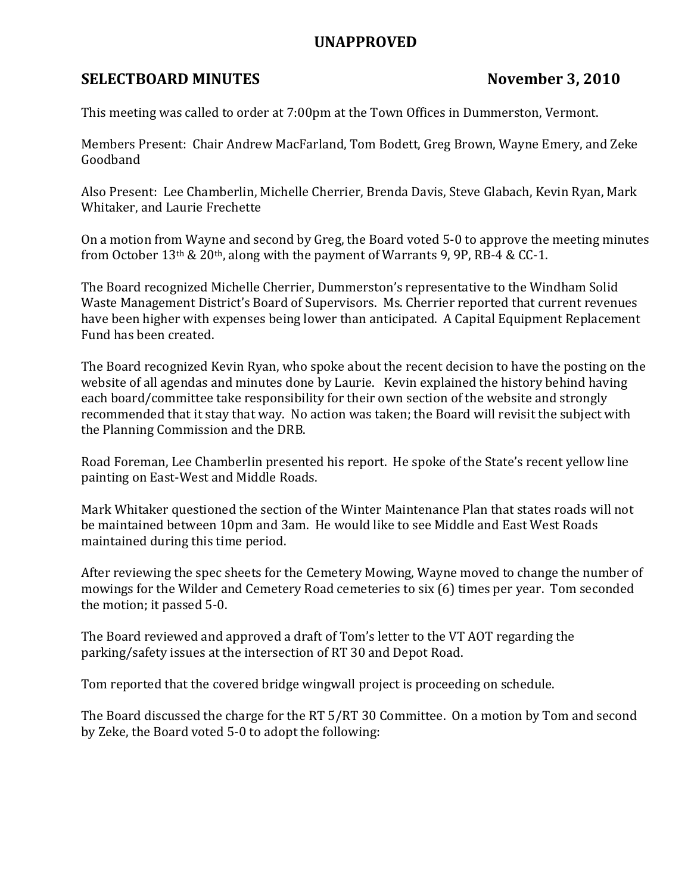## UNAPPROVED

## SELECTBOARD MINUTES November 3, 2010

This meeting was called to order at 7:00pm at the Town Offices in Dummerston, Vermont.

Members Present: Chair Andrew MacFarland, Tom Bodett, Greg Brown, Wayne Emery, and Zeke Goodband

Also Present: Lee Chamberlin, Michelle Cherrier, Brenda Davis, Steve Glabach, Kevin Ryan, Mark Whitaker, and Laurie Frechette

On a motion from Wayne and second by Greg, the Board voted 5-0 to approve the meeting minutes from October 13th & 20th, along with the payment of Warrants 9, 9P, RB-4 & CC-1.

The Board recognized Michelle Cherrier, Dummerston's representative to the Windham Solid Waste Management District's Board of Supervisors. Ms. Cherrier reported that current revenues have been higher with expenses being lower than anticipated. A Capital Equipment Replacement Fund has been created.

The Board recognized Kevin Ryan, who spoke about the recent decision to have the posting on the website of all agendas and minutes done by Laurie. Kevin explained the history behind having each board/committee take responsibility for their own section of the website and strongly recommended that it stay that way. No action was taken; the Board will revisit the subject with the Planning Commission and the DRB.

Road Foreman, Lee Chamberlin presented his report. He spoke of the State's recent yellow line painting on East-West and Middle Roads.

Mark Whitaker questioned the section of the Winter Maintenance Plan that states roads will not be maintained between 10pm and 3am. He would like to see Middle and East West Roads maintained during this time period.

After reviewing the spec sheets for the Cemetery Mowing, Wayne moved to change the number of mowings for the Wilder and Cemetery Road cemeteries to six (6) times per year. Tom seconded the motion; it passed 5-0.

The Board reviewed and approved a draft of Tom's letter to the VT AOT regarding the parking/safety issues at the intersection of RT 30 and Depot Road.

Tom reported that the covered bridge wingwall project is proceeding on schedule.

The Board discussed the charge for the RT 5/RT 30 Committee. On a motion by Tom and second by Zeke, the Board voted 5-0 to adopt the following: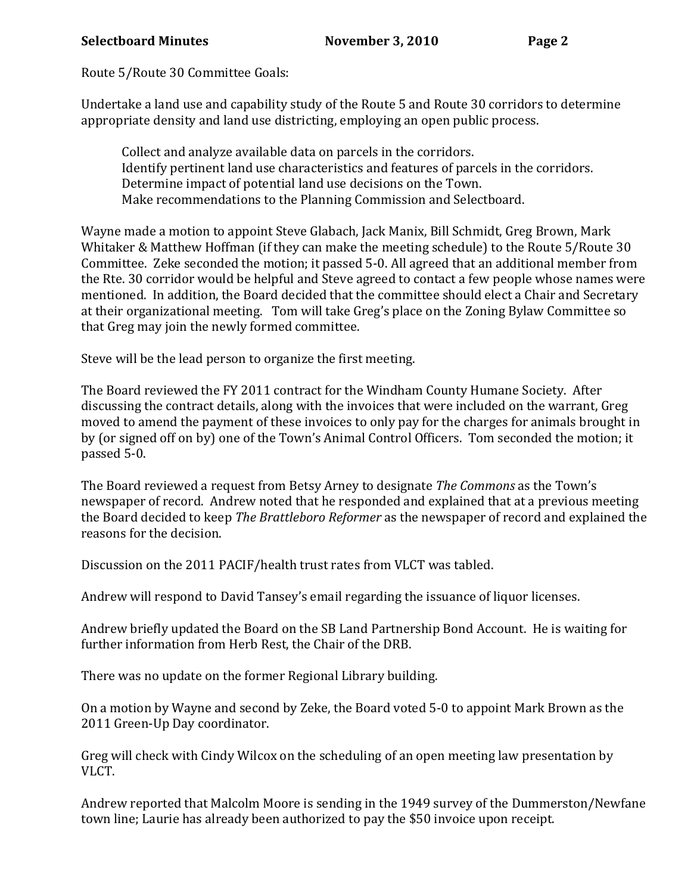## Selectboard Minutes November 3, 2010 Page 2

Route 5/Route 30 Committee Goals:

Undertake a land use and capability study of the Route 5 and Route 30 corridors to determine appropriate density and land use districting, employing an open public process.

 Collect and analyze available data on parcels in the corridors. Identify pertinent land use characteristics and features of parcels in the corridors. Determine impact of potential land use decisions on the Town. Make recommendations to the Planning Commission and Selectboard.

Wayne made a motion to appoint Steve Glabach, Jack Manix, Bill Schmidt, Greg Brown, Mark Whitaker & Matthew Hoffman (if they can make the meeting schedule) to the Route 5/Route 30 Committee. Zeke seconded the motion; it passed 5-0. All agreed that an additional member from the Rte. 30 corridor would be helpful and Steve agreed to contact a few people whose names were mentioned. In addition, the Board decided that the committee should elect a Chair and Secretary at their organizational meeting. Tom will take Greg's place on the Zoning Bylaw Committee so that Greg may join the newly formed committee.

Steve will be the lead person to organize the first meeting.

The Board reviewed the FY 2011 contract for the Windham County Humane Society. After discussing the contract details, along with the invoices that were included on the warrant, Greg moved to amend the payment of these invoices to only pay for the charges for animals brought in by (or signed off on by) one of the Town's Animal Control Officers. Tom seconded the motion; it passed 5-0.

The Board reviewed a request from Betsy Arney to designate The Commons as the Town's newspaper of record. Andrew noted that he responded and explained that at a previous meeting the Board decided to keep The Brattleboro Reformer as the newspaper of record and explained the reasons for the decision.

Discussion on the 2011 PACIF/health trust rates from VLCT was tabled.

Andrew will respond to David Tansey's email regarding the issuance of liquor licenses.

Andrew briefly updated the Board on the SB Land Partnership Bond Account. He is waiting for further information from Herb Rest, the Chair of the DRB.

There was no update on the former Regional Library building.

On a motion by Wayne and second by Zeke, the Board voted 5-0 to appoint Mark Brown as the 2011 Green-Up Day coordinator.

Greg will check with Cindy Wilcox on the scheduling of an open meeting law presentation by VLCT.

Andrew reported that Malcolm Moore is sending in the 1949 survey of the Dummerston/Newfane town line; Laurie has already been authorized to pay the \$50 invoice upon receipt.